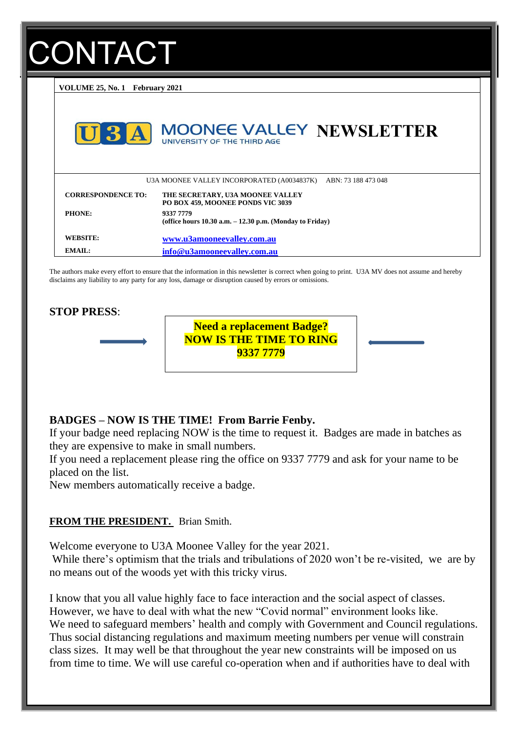# **ONTACT**

**VOLUME 25, No. 1 February 2021**



The authors make every effort to ensure that the information in this newsletter is correct when going to print. U3A MV does not assume and hereby disclaims any liability to any party for any loss, damage or disruption caused by errors or omissions.

#### **STOP PRESS**:



**Need a replacement Badge? NOW IS THE TIME TO RING NOW IS THE TIME TO RING 93337 7779 9337 7779Need a replacement Badge?**

# **BADGES – NOW IS THE TIME! From Barrie Fenby.**

If your badge need replacing NOW is the time to request it. Badges are made in batches as they are expensive to make in small numbers.

If you need a replacement please ring the office on 9337 7779 and ask for your name to be placed on the list.

New members automatically receive a badge.

## **FROM THE PRESIDENT.** Brian Smith.

Welcome everyone to U3A Moonee Valley for the year 2021.

While there's optimism that the trials and tribulations of 2020 won't be re-visited, we are by no means out of the woods yet with this tricky virus.

I know that you all value highly face to face interaction and the social aspect of classes. However, we have to deal with what the new "Covid normal" environment looks like. We need to safeguard members' health and comply with Government and Council regulations. Thus social distancing regulations and maximum meeting numbers per venue will constrain class sizes. It may well be that throughout the year new constraints will be imposed on us from time to time. We will use careful co-operation when and if authorities have to deal with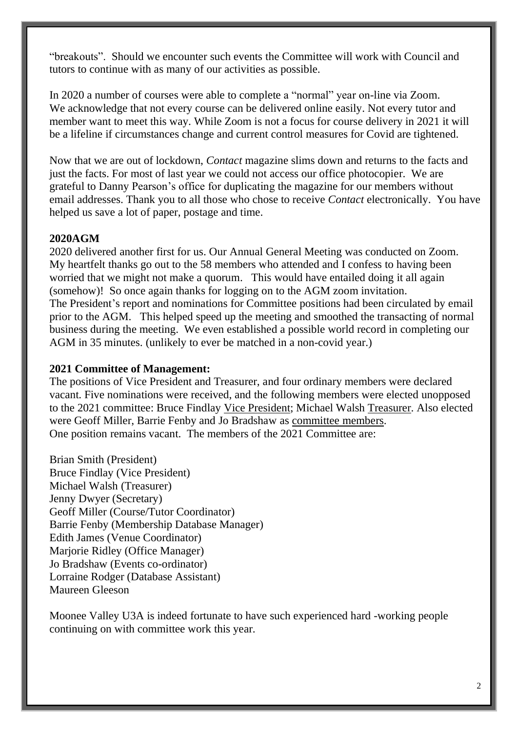"breakouts". Should we encounter such events the Committee will work with Council and tutors to continue with as many of our activities as possible.

In 2020 a number of courses were able to complete a "normal" year on-line via Zoom. We acknowledge that not every course can be delivered online easily. Not every tutor and member want to meet this way. While Zoom is not a focus for course delivery in 2021 it will be a lifeline if circumstances change and current control measures for Covid are tightened.

Now that we are out of lockdown, *Contact* magazine slims down and returns to the facts and just the facts. For most of last year we could not access our office photocopier. We are grateful to Danny Pearson's office for duplicating the magazine for our members without email addresses. Thank you to all those who chose to receive *Contact* electronically. You have helped us save a lot of paper, postage and time.

## **2020AGM**

2020 delivered another first for us. Our Annual General Meeting was conducted on Zoom. My heartfelt thanks go out to the 58 members who attended and I confess to having been worried that we might not make a quorum. This would have entailed doing it all again (somehow)! So once again thanks for logging on to the AGM zoom invitation. The President's report and nominations for Committee positions had been circulated by email prior to the AGM. This helped speed up the meeting and smoothed the transacting of normal business during the meeting. We even established a possible world record in completing our AGM in 35 minutes. (unlikely to ever be matched in a non-covid year.)

## **2021 Committee of Management:**

The positions of Vice President and Treasurer, and four ordinary members were declared vacant. Five nominations were received, and the following members were elected unopposed to the 2021 committee: Bruce Findlay Vice President; Michael Walsh Treasurer. Also elected were Geoff Miller, Barrie Fenby and Jo Bradshaw as committee members. One position remains vacant. The members of the 2021 Committee are:

Brian Smith (President) Bruce Findlay (Vice President) Michael Walsh (Treasurer) Jenny Dwyer (Secretary) Geoff Miller (Course/Tutor Coordinator) Barrie Fenby (Membership Database Manager) Edith James (Venue Coordinator) Marjorie Ridley (Office Manager) Jo Bradshaw (Events co-ordinator) Lorraine Rodger (Database Assistant) Maureen Gleeson

Moonee Valley U3A is indeed fortunate to have such experienced hard -working people continuing on with committee work this year.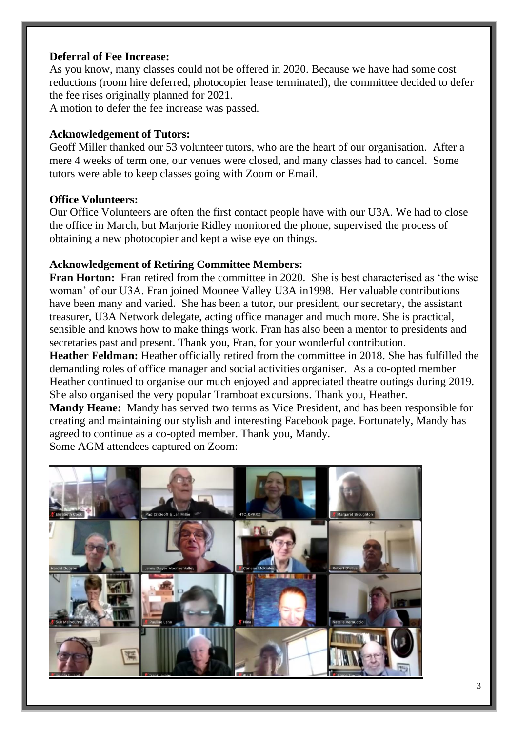## **Deferral of Fee Increase:**

As you know, many classes could not be offered in 2020. Because we have had some cost reductions (room hire deferred, photocopier lease terminated), the committee decided to defer the fee rises originally planned for 2021.

A motion to defer the fee increase was passed.

## **Acknowledgement of Tutors:**

Geoff Miller thanked our 53 volunteer tutors, who are the heart of our organisation. After a mere 4 weeks of term one, our venues were closed, and many classes had to cancel. Some tutors were able to keep classes going with Zoom or Email.

## **Office Volunteers:**

Our Office Volunteers are often the first contact people have with our U3A. We had to close the office in March, but Marjorie Ridley monitored the phone, supervised the process of obtaining a new photocopier and kept a wise eye on things.

## **Acknowledgement of Retiring Committee Members:**

**Fran Horton:** Fran retired from the committee in 2020. She is best characterised as 'the wise woman' of our U3A. Fran joined Moonee Valley U3A in1998. Her valuable contributions have been many and varied. She has been a tutor, our president, our secretary, the assistant treasurer, U3A Network delegate, acting office manager and much more. She is practical, sensible and knows how to make things work. Fran has also been a mentor to presidents and secretaries past and present. Thank you, Fran, for your wonderful contribution.

**Heather Feldman:** Heather officially retired from the committee in 2018. She has fulfilled the demanding roles of office manager and social activities organiser. As a co-opted member Heather continued to organise our much enjoyed and appreciated theatre outings during 2019. She also organised the very popular Tramboat excursions. Thank you, Heather.

**Mandy Heane:** Mandy has served two terms as Vice President, and has been responsible for creating and maintaining our stylish and interesting Facebook page. Fortunately, Mandy has agreed to continue as a co-opted member. Thank you, Mandy.

Some AGM attendees captured on Zoom:

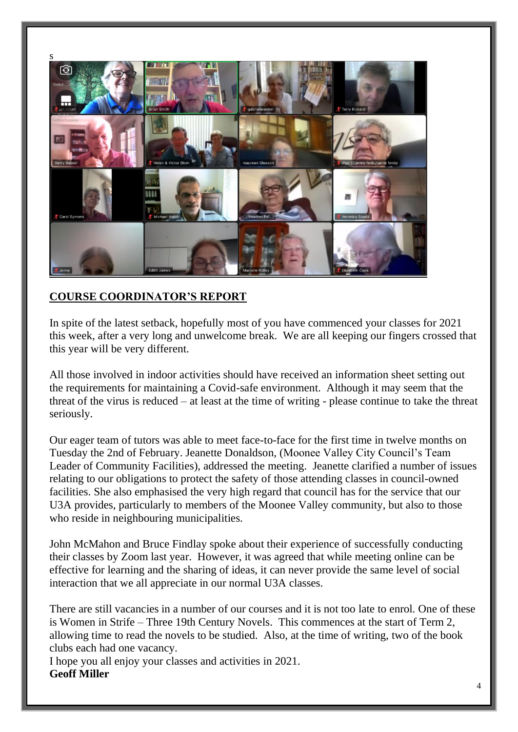

# **COURSE COORDINATOR'S REPORT**

In spite of the latest setback, hopefully most of you have commenced your classes for 2021 this week, after a very long and unwelcome break. We are all keeping our fingers crossed that this year will be very different.

All those involved in indoor activities should have received an information sheet setting out the requirements for maintaining a Covid-safe environment. Although it may seem that the threat of the virus is reduced – at least at the time of writing - please continue to take the threat seriously.

Our eager team of tutors was able to meet face-to-face for the first time in twelve months on Tuesday the 2nd of February. Jeanette Donaldson, (Moonee Valley City Council's Team Leader of Community Facilities), addressed the meeting. Jeanette clarified a number of issues relating to our obligations to protect the safety of those attending classes in council-owned facilities. She also emphasised the very high regard that council has for the service that our U3A provides, particularly to members of the Moonee Valley community, but also to those who reside in neighbouring municipalities.

John McMahon and Bruce Findlay spoke about their experience of successfully conducting their classes by Zoom last year. However, it was agreed that while meeting online can be effective for learning and the sharing of ideas, it can never provide the same level of social interaction that we all appreciate in our normal U3A classes.

There are still vacancies in a number of our courses and it is not too late to enrol. One of these is Women in Strife – Three 19th Century Novels. This commences at the start of Term 2, allowing time to read the novels to be studied. Also, at the time of writing, two of the book clubs each had one vacancy.

I hope you all enjoy your classes and activities in 2021. **Geoff Miller**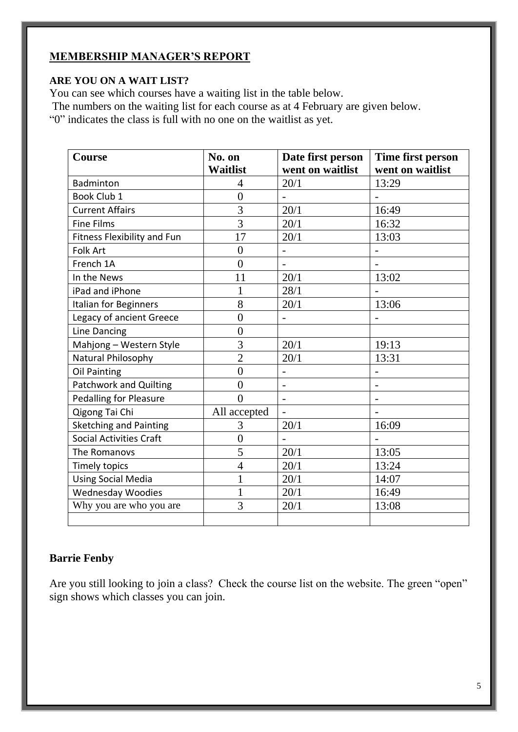# **MEMBERSHIP MANAGER'S REPORT**

## **ARE YOU ON A WAIT LIST?**

You can see which courses have a waiting list in the table below.

The numbers on the waiting list for each course as at 4 February are given below.

"0" indicates the class is full with no one on the waitlist as yet.

| Course                         | No. on           | Date first person        | Time first person |
|--------------------------------|------------------|--------------------------|-------------------|
|                                | <b>Waitlist</b>  | went on waitlist         | went on waitlist  |
| <b>Badminton</b>               | 4                | 20/1                     | 13:29             |
| Book Club 1                    | $\boldsymbol{0}$ |                          |                   |
| <b>Current Affairs</b>         | $\overline{3}$   | 20/1                     | 16:49             |
| <b>Fine Films</b>              | $\overline{3}$   | 20/1                     | 16:32             |
| Fitness Flexibility and Fun    | 17               | 20/1                     | 13:03             |
| <b>Folk Art</b>                | $\overline{0}$   | $\blacksquare$           |                   |
| French 1A                      | $\overline{0}$   |                          |                   |
| In the News                    | 11               | 20/1                     | 13:02             |
| iPad and iPhone                | 1                | 28/1                     |                   |
| Italian for Beginners          | 8                | 20/1                     | 13:06             |
| Legacy of ancient Greece       | $\overline{0}$   |                          |                   |
| Line Dancing                   | $\overline{0}$   |                          |                   |
| Mahjong - Western Style        | 3                | 20/1                     | 19:13             |
| Natural Philosophy             | $\overline{2}$   | 20/1                     | 13:31             |
| Oil Painting                   | $\overline{0}$   | $\overline{\phantom{a}}$ |                   |
| Patchwork and Quilting         | $\overline{0}$   | $\overline{\phantom{0}}$ |                   |
| <b>Pedalling for Pleasure</b>  | $\theta$         |                          |                   |
| Qigong Tai Chi                 | All accepted     | $\overline{a}$           |                   |
| <b>Sketching and Painting</b>  | 3                | 20/1                     | 16:09             |
| <b>Social Activities Craft</b> | $\boldsymbol{0}$ |                          |                   |
| The Romanovs                   | 5                | 20/1                     | 13:05             |
| Timely topics                  | $\overline{4}$   | 20/1                     | 13:24             |
| <b>Using Social Media</b>      | $\mathbf 1$      | 20/1                     | 14:07             |
| <b>Wednesday Woodies</b>       | 1                | 20/1                     | 16:49             |
| Why you are who you are        | 3                | 20/1                     | 13:08             |
|                                |                  |                          |                   |

# **Barrie Fenby**

Are you still looking to join a class? Check the course list on the website. The green "open" sign shows which classes you can join.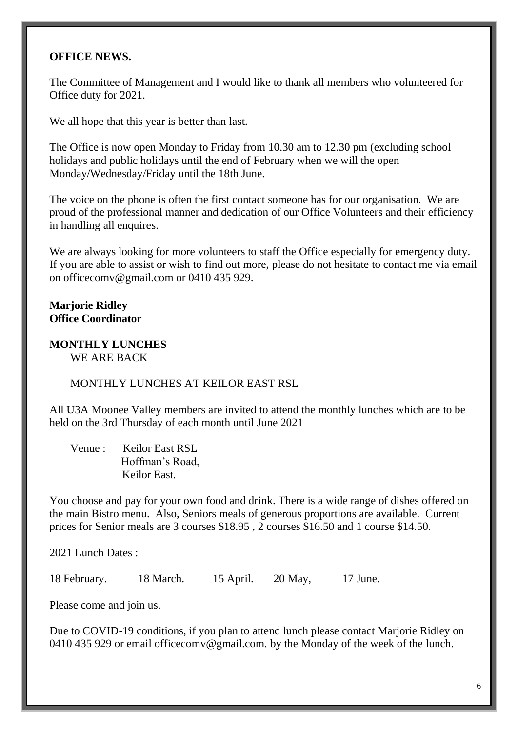## **OFFICE NEWS.**

The Committee of Management and I would like to thank all members who volunteered for Office duty for 2021.

We all hope that this year is better than last.

The Office is now open Monday to Friday from 10.30 am to 12.30 pm (excluding school holidays and public holidays until the end of February when we will the open Monday/Wednesday/Friday until the 18th June.

The voice on the phone is often the first contact someone has for our organisation. We are proud of the professional manner and dedication of our Office Volunteers and their efficiency in handling all enquires.

We are always looking for more volunteers to staff the Office especially for emergency duty. If you are able to assist or wish to find out more, please do not hesitate to contact me via email on [officecomv@gmail.com](mailto:officecomv@gmail.com) or 0410 435 929.

# **Marjorie Ridley Office Coordinator**

#### **MONTHLY LUNCHES**  WE ARE BACK

MONTHLY LUNCHES AT KEILOR EAST RSL

All U3A Moonee Valley members are invited to attend the monthly lunches which are to be held on the 3rd Thursday of each month until June 2021

Venue : Keilor East RSL Hoffman's Road, Keilor East.

You choose and pay for your own food and drink. There is a wide range of dishes offered on the main Bistro menu. Also, Seniors meals of generous proportions are available. Current prices for Senior meals are 3 courses \$18.95 , 2 courses \$16.50 and 1 course \$14.50.

2021 Lunch Dates :

18 February. 18 March. 15 April. 20 May, 17 June.

Please come and join us.

Due to COVID-19 conditions, if you plan to attend lunch please contact Marjorie Ridley on 0410 435 929 or email [officecomv@gmail.com.](mailto:officecomv@gmail.com) by the Monday of the week of the lunch.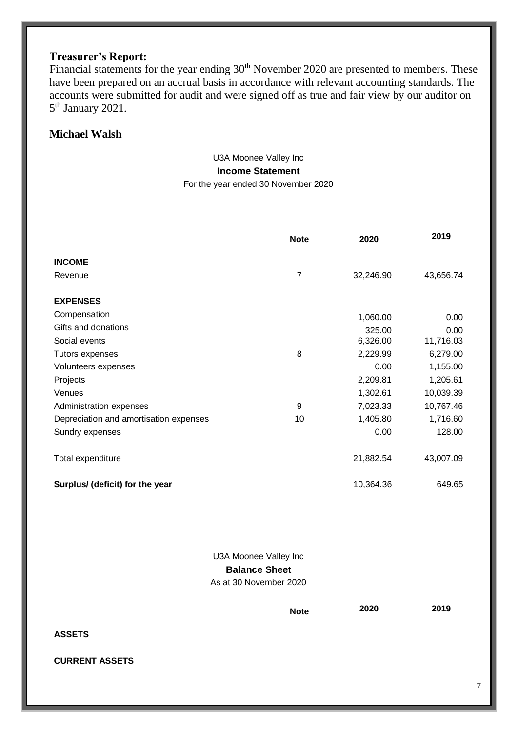# **Treasurer's Report:**

Financial statements for the year ending 30<sup>th</sup> November 2020 are presented to members. These have been prepared on an accrual basis in accordance with relevant accounting standards. The accounts were submitted for audit and were signed off as true and fair view by our auditor on 5<sup>th</sup> January 2021.

## **Michael Walsh**

#### U3A Moonee Valley Inc **Income Statement** For the year ended 30 November 2020

|                                        | <b>Note</b>    | 2020      | 2019      |
|----------------------------------------|----------------|-----------|-----------|
| <b>INCOME</b>                          |                |           |           |
| Revenue                                | $\overline{7}$ | 32,246.90 | 43,656.74 |
| <b>EXPENSES</b>                        |                |           |           |
| Compensation                           |                | 1,060.00  | 0.00      |
| Gifts and donations                    |                | 325.00    | 0.00      |
| Social events                          |                | 6,326.00  | 11,716.03 |
| Tutors expenses                        | 8              | 2,229.99  | 6,279.00  |
| Volunteers expenses                    |                | 0.00      | 1,155.00  |
| Projects                               |                | 2,209.81  | 1,205.61  |
| Venues                                 |                | 1,302.61  | 10,039.39 |
| Administration expenses                | 9              | 7,023.33  | 10,767.46 |
| Depreciation and amortisation expenses | 10             | 1,405.80  | 1,716.60  |
| Sundry expenses                        |                | 0.00      | 128.00    |
| Total expenditure                      |                | 21,882.54 | 43,007.09 |
| Surplus/ (deficit) for the year        |                | 10,364.36 | 649.65    |

U3A Moonee Valley Inc **Balance Sheet** As at 30 November 2020

**Note 2020 2019**

**ASSETS**

**CURRENT ASSETS**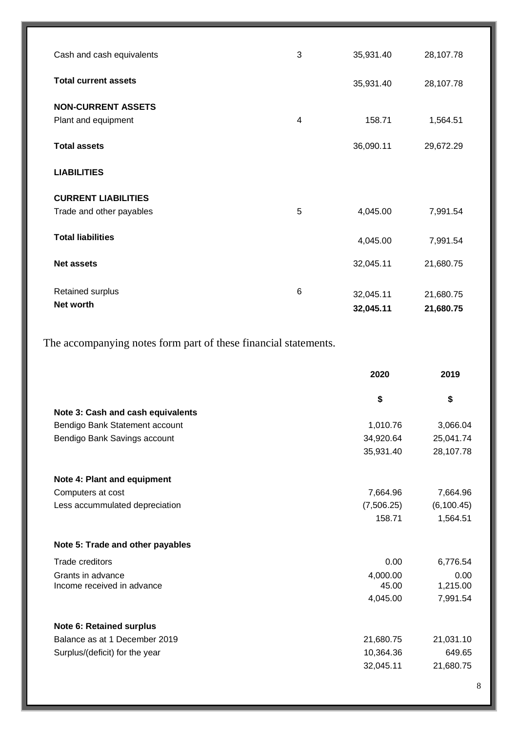| Cash and cash equivalents                              | 3 | 35,931.40              | 28,107.78              |
|--------------------------------------------------------|---|------------------------|------------------------|
| <b>Total current assets</b>                            |   | 35,931.40              | 28,107.78              |
| <b>NON-CURRENT ASSETS</b><br>Plant and equipment       | 4 | 158.71                 | 1,564.51               |
| <b>Total assets</b>                                    |   | 36,090.11              | 29,672.29              |
| <b>LIABILITIES</b>                                     |   |                        |                        |
| <b>CURRENT LIABILITIES</b><br>Trade and other payables | 5 | 4,045.00               | 7,991.54               |
| <b>Total liabilities</b>                               |   | 4,045.00               | 7,991.54               |
| <b>Net assets</b>                                      |   | 32,045.11              | 21,680.75              |
| Retained surplus<br>Net worth                          | 6 | 32,045.11<br>32,045.11 | 21,680.75<br>21,680.75 |

The accompanying notes form part of these financial statements.

|                                   | 2020       | 2019        |
|-----------------------------------|------------|-------------|
|                                   | \$         | \$          |
| Note 3: Cash and cash equivalents |            |             |
| Bendigo Bank Statement account    | 1,010.76   | 3,066.04    |
| Bendigo Bank Savings account      | 34,920.64  | 25,041.74   |
|                                   | 35,931.40  | 28,107.78   |
| Note 4: Plant and equipment       |            |             |
| Computers at cost                 | 7,664.96   | 7,664.96    |
| Less accummulated depreciation    | (7,506.25) | (6, 100.45) |
|                                   | 158.71     | 1,564.51    |
| Note 5: Trade and other payables  |            |             |
| Trade creditors                   | 0.00       | 6,776.54    |
| Grants in advance                 | 4,000.00   | 0.00        |
| Income received in advance        | 45.00      | 1,215.00    |
|                                   | 4,045.00   | 7,991.54    |
| <b>Note 6: Retained surplus</b>   |            |             |
| Balance as at 1 December 2019     | 21,680.75  | 21,031.10   |
| Surplus/(deficit) for the year    | 10,364.36  | 649.65      |
|                                   | 32,045.11  | 21,680.75   |